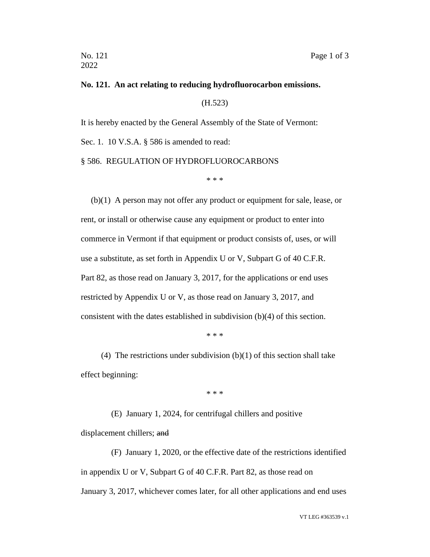## **No. 121. An act relating to reducing hydrofluorocarbon emissions.** (H.523) It is hereby enacted by the General Assembly of the State of Vermont: Sec. 1. 10 V.S.A. § 586 is amended to read:

§ 586. REGULATION OF HYDROFLUOROCARBONS

\* \* \*

(b)(1) A person may not offer any product or equipment for sale, lease, or rent, or install or otherwise cause any equipment or product to enter into commerce in Vermont if that equipment or product consists of, uses, or will use a substitute, as set forth in Appendix U or V, Subpart G of 40 C.F.R. Part 82, as those read on January 3, 2017, for the applications or end uses restricted by Appendix U or V, as those read on January 3, 2017, and consistent with the dates established in subdivision (b)(4) of this section.

\* \* \*

(4) The restrictions under subdivision  $(b)(1)$  of this section shall take effect beginning:

\* \* \*

(E) January 1, 2024, for centrifugal chillers and positive displacement chillers; and

(F) January 1, 2020, or the effective date of the restrictions identified in appendix U or V, Subpart G of 40 C.F.R. Part 82, as those read on January 3, 2017, whichever comes later, for all other applications and end uses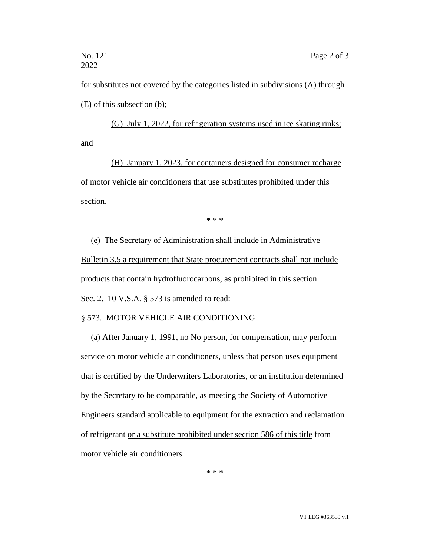for substitutes not covered by the categories listed in subdivisions (A) through (E) of this subsection (b);

(G) July 1, 2022, for refrigeration systems used in ice skating rinks; and

(H) January 1, 2023, for containers designed for consumer recharge of motor vehicle air conditioners that use substitutes prohibited under this section.

\* \* \*

(e) The Secretary of Administration shall include in Administrative Bulletin 3.5 a requirement that State procurement contracts shall not include products that contain hydrofluorocarbons, as prohibited in this section.

Sec. 2. 10 V.S.A. § 573 is amended to read:

## § 573. MOTOR VEHICLE AIR CONDITIONING

(a) After January 1, 1991, no No person, for compensation, may perform service on motor vehicle air conditioners, unless that person uses equipment that is certified by the Underwriters Laboratories, or an institution determined by the Secretary to be comparable, as meeting the Society of Automotive Engineers standard applicable to equipment for the extraction and reclamation of refrigerant or a substitute prohibited under section 586 of this title from motor vehicle air conditioners.

\* \* \*